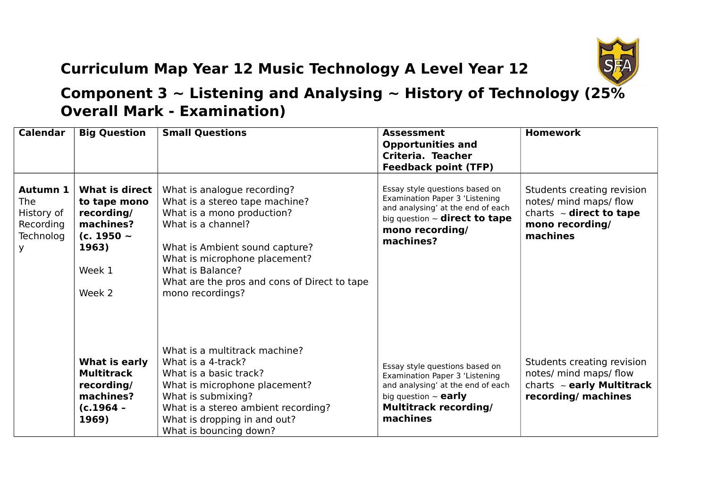

## **Curriculum Map Year 12 Music Technology A Level Year 12**

## **Component 3 ~ Listening and Analysing ~ History of Technology (25% Overall Mark - Examination)**

| <b>Calendar</b>                                                            | <b>Big Question</b>                                                                                       | <b>Small Questions</b>                                                                                                                                                                                                                                                       | <b>Assessment</b><br><b>Opportunities and</b><br>Criteria. Teacher<br><b>Feedback point (TFP)</b>                                                                              | <b>Homework</b>                                                                                                     |
|----------------------------------------------------------------------------|-----------------------------------------------------------------------------------------------------------|------------------------------------------------------------------------------------------------------------------------------------------------------------------------------------------------------------------------------------------------------------------------------|--------------------------------------------------------------------------------------------------------------------------------------------------------------------------------|---------------------------------------------------------------------------------------------------------------------|
| <b>Autumn 1</b><br><b>The</b><br>History of<br>Recording<br>Technolog<br>У | What is direct<br>to tape mono<br>recording/<br>machines?<br>(c. 1950 $\sim$<br>1963)<br>Week 1<br>Week 2 | What is analogue recording?<br>What is a stereo tape machine?<br>What is a mono production?<br>What is a channel?<br>What is Ambient sound capture?<br>What is microphone placement?<br>What is Balance?<br>What are the pros and cons of Direct to tape<br>mono recordings? | Essay style questions based on<br>Examination Paper 3 'Listening<br>and analysing' at the end of each<br>big question $\sim$ direct to tape<br>mono recording/<br>machines?    | Students creating revision<br>notes/ mind maps/ flow<br>charts $\sim$ direct to tape<br>mono recording/<br>machines |
|                                                                            | What is early<br><b>Multitrack</b><br>recording/<br>machines?<br>$(c.1964 -$<br>1969)                     | What is a multitrack machine?<br>What is a 4-track?<br>What is a basic track?<br>What is microphone placement?<br>What is submixing?<br>What is a stereo ambient recording?<br>What is dropping in and out?<br>What is bouncing down?                                        | Essay style questions based on<br>Examination Paper 3 'Listening<br>and analysing' at the end of each<br>big question $\sim$ early<br><b>Multitrack recording/</b><br>machines | Students creating revision<br>notes/ mind maps/ flow<br>charts $\sim$ early Multitrack<br>recording/ machines       |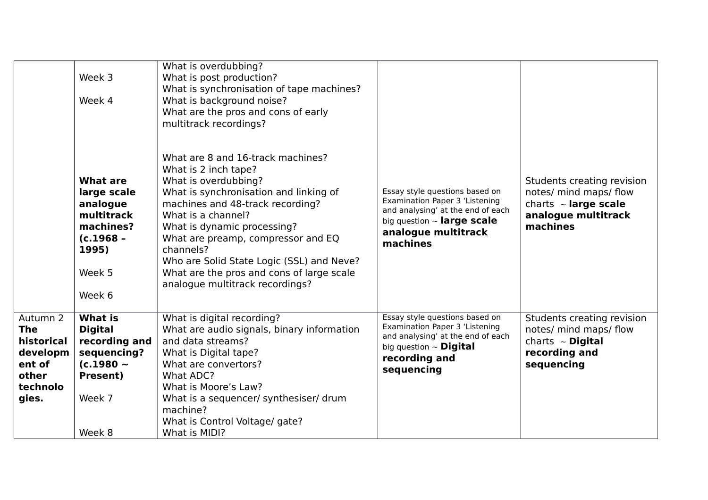|                                                                                          | Week 3<br>Week 4                                                                                                          | What is overdubbing?<br>What is post production?<br>What is synchronisation of tape machines?<br>What is background noise?<br>What are the pros and cons of early<br>multitrack recordings?                                                                                                                                                                                                          |                                                                                                                                                                             |                                                                                                                      |
|------------------------------------------------------------------------------------------|---------------------------------------------------------------------------------------------------------------------------|------------------------------------------------------------------------------------------------------------------------------------------------------------------------------------------------------------------------------------------------------------------------------------------------------------------------------------------------------------------------------------------------------|-----------------------------------------------------------------------------------------------------------------------------------------------------------------------------|----------------------------------------------------------------------------------------------------------------------|
|                                                                                          | What are<br>large scale<br>analogue<br>multitrack<br>machines?<br>(c.1968 -<br>1995)<br>Week 5<br>Week 6                  | What are 8 and 16-track machines?<br>What is 2 inch tape?<br>What is overdubbing?<br>What is synchronisation and linking of<br>machines and 48-track recording?<br>What is a channel?<br>What is dynamic processing?<br>What are preamp, compressor and EQ<br>channels?<br>Who are Solid State Logic (SSL) and Neve?<br>What are the pros and cons of large scale<br>analogue multitrack recordings? | Essay style questions based on<br>Examination Paper 3 'Listening<br>and analysing' at the end of each<br>big question $\sim$ large scale<br>analogue multitrack<br>machines | Students creating revision<br>notes/ mind maps/ flow<br>charts $\sim$ large scale<br>analogue multitrack<br>machines |
| Autumn 2<br><b>The</b><br>historical<br>developm<br>ent of<br>other<br>technolo<br>gies. | <b>What is</b><br><b>Digital</b><br>recording and<br>sequencing?<br>(c.1980 $\sim$<br><b>Present)</b><br>Week 7<br>Week 8 | What is digital recording?<br>What are audio signals, binary information<br>and data streams?<br>What is Digital tape?<br>What are convertors?<br>What ADC?<br>What is Moore's Law?<br>What is a sequencer/ synthesiser/ drum<br>machine?<br>What is Control Voltage/ gate?<br>What is MIDI?                                                                                                         | Essay style questions based on<br>Examination Paper 3 'Listening<br>and analysing' at the end of each<br>big question $\sim$ Digital<br>recording and<br>sequencing         | Students creating revision<br>notes/ mind maps/ flow<br>charts $\sim$ Digital<br>recording and<br>sequencing         |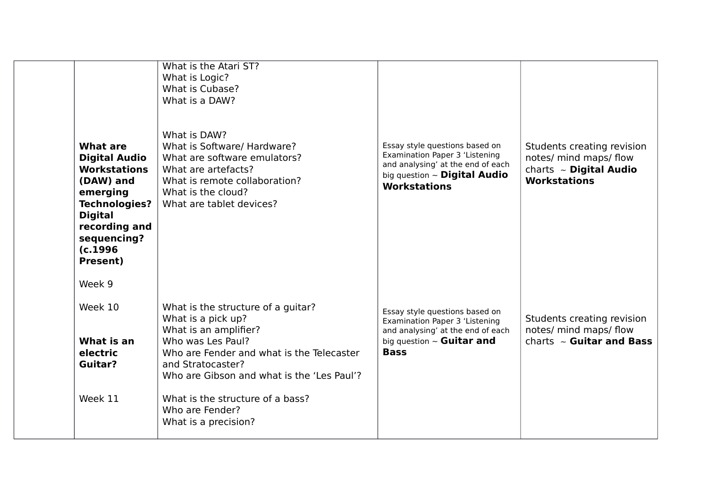| <b>What are</b><br><b>Digital Audio</b><br><b>Workstations</b><br>(DAW) and<br>emerging<br><b>Technologies?</b><br><b>Digital</b><br>recording and<br>sequencing?<br>(c.1996) | What is the Atari ST?<br>What is Logic?<br>What is Cubase?<br>What is a DAW?<br>What is DAW?<br>What is Software/ Hardware?<br>What are software emulators?<br>What are artefacts?<br>What is remote collaboration?<br>What is the cloud?<br>What are tablet devices? | Essay style questions based on<br>Examination Paper 3 'Listening<br>and analysing' at the end of each<br>big question $\sim$ Digital Audio<br><b>Workstations</b> | Students creating revision<br>notes/ mind maps/ flow<br>charts ~ Digital Audio<br><b>Workstations</b> |
|-------------------------------------------------------------------------------------------------------------------------------------------------------------------------------|-----------------------------------------------------------------------------------------------------------------------------------------------------------------------------------------------------------------------------------------------------------------------|-------------------------------------------------------------------------------------------------------------------------------------------------------------------|-------------------------------------------------------------------------------------------------------|
| <b>Present)</b>                                                                                                                                                               |                                                                                                                                                                                                                                                                       |                                                                                                                                                                   |                                                                                                       |
| Week 9                                                                                                                                                                        |                                                                                                                                                                                                                                                                       |                                                                                                                                                                   |                                                                                                       |
| Week 10<br>What is an<br>electric<br>Guitar?                                                                                                                                  | What is the structure of a guitar?<br>What is a pick up?<br>What is an amplifier?<br>Who was Les Paul?<br>Who are Fender and what is the Telecaster<br>and Stratocaster?<br>Who are Gibson and what is the 'Les Paul'?                                                | Essay style questions based on<br>Examination Paper 3 'Listening<br>and analysing' at the end of each<br>big question $\sim$ Guitar and<br><b>Bass</b>            | Students creating revision<br>notes/ mind maps/ flow<br>charts $\sim$ Guitar and Bass                 |
| Week 11                                                                                                                                                                       | What is the structure of a bass?<br>Who are Fender?<br>What is a precision?                                                                                                                                                                                           |                                                                                                                                                                   |                                                                                                       |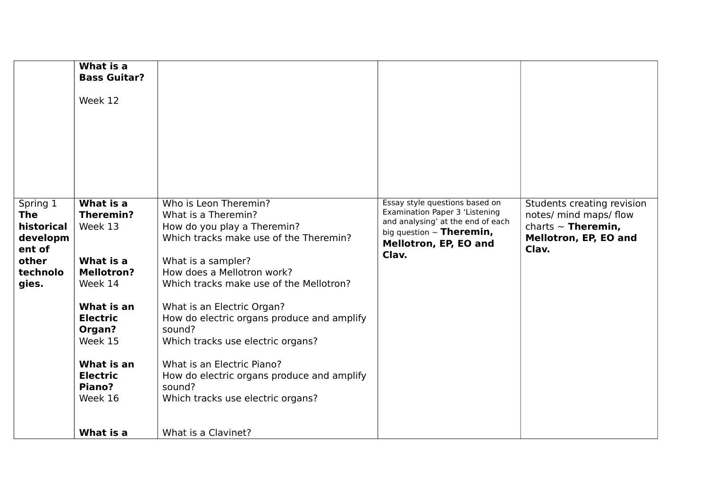| What is a                                                                                                                                                                                         |                                                                                                                                                                                                                                                                                                                                                                                                                                                                            |                                                                                                                                                                          |                                                                                                                   |
|---------------------------------------------------------------------------------------------------------------------------------------------------------------------------------------------------|----------------------------------------------------------------------------------------------------------------------------------------------------------------------------------------------------------------------------------------------------------------------------------------------------------------------------------------------------------------------------------------------------------------------------------------------------------------------------|--------------------------------------------------------------------------------------------------------------------------------------------------------------------------|-------------------------------------------------------------------------------------------------------------------|
|                                                                                                                                                                                                   |                                                                                                                                                                                                                                                                                                                                                                                                                                                                            |                                                                                                                                                                          |                                                                                                                   |
| Week 12                                                                                                                                                                                           |                                                                                                                                                                                                                                                                                                                                                                                                                                                                            |                                                                                                                                                                          |                                                                                                                   |
| What is a<br><b>Theremin?</b><br>Week 13<br>What is a<br><b>Mellotron?</b><br>Week 14<br>What is an<br><b>Electric</b><br>Organ?<br>Week 15<br>What is an<br><b>Electric</b><br>Piano?<br>Week 16 | Who is Leon Theremin?<br>What is a Theremin?<br>How do you play a Theremin?<br>Which tracks make use of the Theremin?<br>What is a sampler?<br>How does a Mellotron work?<br>Which tracks make use of the Mellotron?<br>What is an Electric Organ?<br>How do electric organs produce and amplify<br>sound?<br>Which tracks use electric organs?<br>What is an Electric Piano?<br>How do electric organs produce and amplify<br>sound?<br>Which tracks use electric organs? | Essay style questions based on<br>Examination Paper 3 'Listening<br>and analysing' at the end of each<br>big question $\sim$ Theremin,<br>Mellotron, EP, EO and<br>Clav. | Students creating revision<br>notes/ mind maps/ flow<br>charts $\sim$ Theremin,<br>Mellotron, EP, EO and<br>Clav. |
| What is a                                                                                                                                                                                         | What is a Clavinet?                                                                                                                                                                                                                                                                                                                                                                                                                                                        |                                                                                                                                                                          |                                                                                                                   |
|                                                                                                                                                                                                   | <b>Bass Guitar?</b>                                                                                                                                                                                                                                                                                                                                                                                                                                                        |                                                                                                                                                                          |                                                                                                                   |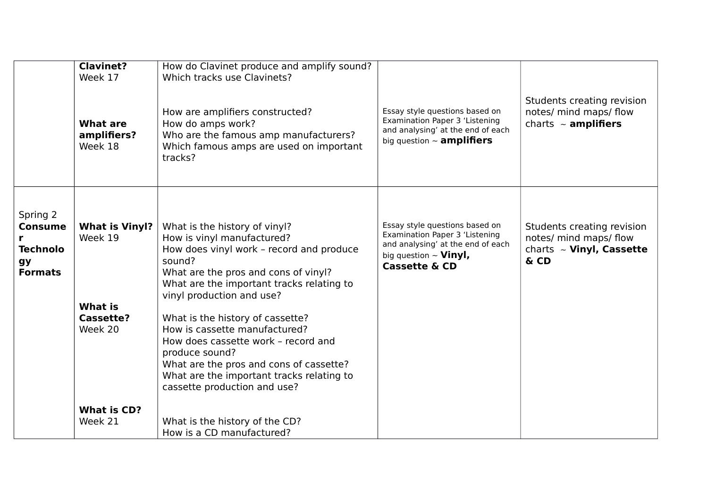|                                                                              | <b>Clavinet?</b><br>Week 17<br>What are<br>amplifiers?<br>Week 18   | How do Clavinet produce and amplify sound?<br>Which tracks use Clavinets?<br>How are amplifiers constructed?<br>How do amps work?<br>Who are the famous amp manufacturers?<br>Which famous amps are used on important<br>tracks?                                                                                                                                                                                                                                                          | Essay style questions based on<br>Examination Paper 3 'Listening<br>and analysing' at the end of each<br>big question $\sim$ amplifiers                         | Students creating revision<br>notes/ mind maps/ flow<br>charts $\sim$ amplifiers              |
|------------------------------------------------------------------------------|---------------------------------------------------------------------|-------------------------------------------------------------------------------------------------------------------------------------------------------------------------------------------------------------------------------------------------------------------------------------------------------------------------------------------------------------------------------------------------------------------------------------------------------------------------------------------|-----------------------------------------------------------------------------------------------------------------------------------------------------------------|-----------------------------------------------------------------------------------------------|
| Spring 2<br><b>Consume</b><br><b>Technolo</b><br><b>gy</b><br><b>Formats</b> | <b>What is Vinyl?</b><br>Week 19<br>What is<br>Cassette?<br>Week 20 | What is the history of vinyl?<br>How is vinyl manufactured?<br>How does vinyl work - record and produce<br>sound?<br>What are the pros and cons of vinyl?<br>What are the important tracks relating to<br>vinyl production and use?<br>What is the history of cassette?<br>How is cassette manufactured?<br>How does cassette work - record and<br>produce sound?<br>What are the pros and cons of cassette?<br>What are the important tracks relating to<br>cassette production and use? | Essay style questions based on<br>Examination Paper 3 'Listening<br>and analysing' at the end of each<br>big question $\sim$ Vinyl,<br><b>Cassette &amp; CD</b> | Students creating revision<br>notes/ mind maps/ flow<br>charts $\sim$ Vinyl, Cassette<br>& CD |
|                                                                              | <b>What is CD?</b><br>Week 21                                       | What is the history of the CD?<br>How is a CD manufactured?                                                                                                                                                                                                                                                                                                                                                                                                                               |                                                                                                                                                                 |                                                                                               |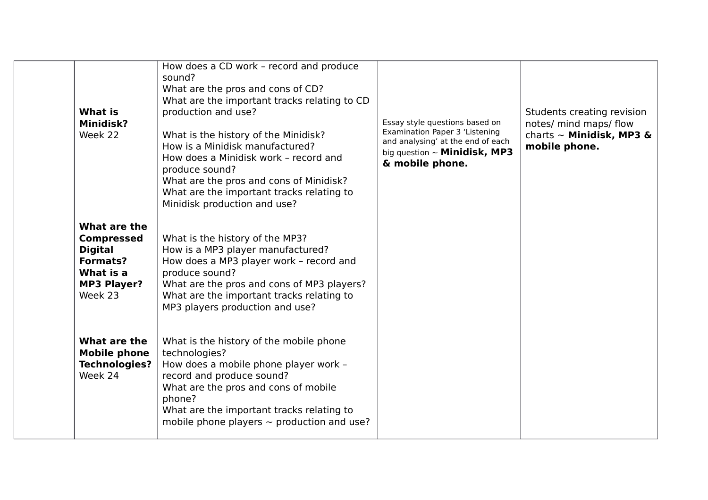| <b>What is</b><br><b>Minidisk?</b><br>Week 22                                                                        | How does a CD work - record and produce<br>sound?<br>What are the pros and cons of CD?<br>What are the important tracks relating to CD<br>production and use?<br>What is the history of the Minidisk?<br>How is a Minidisk manufactured?<br>How does a Minidisk work - record and<br>produce sound?<br>What are the pros and cons of Minidisk?<br>What are the important tracks relating to<br>Minidisk production and use? | Essay style questions based on<br>Examination Paper 3 'Listening<br>and analysing' at the end of each<br>big question $\sim$ Minidisk, MP3<br>& mobile phone. | Students creating revision<br>notes/ mind maps/ flow<br>charts $\sim$ Minidisk, MP3 &<br>mobile phone. |
|----------------------------------------------------------------------------------------------------------------------|-----------------------------------------------------------------------------------------------------------------------------------------------------------------------------------------------------------------------------------------------------------------------------------------------------------------------------------------------------------------------------------------------------------------------------|---------------------------------------------------------------------------------------------------------------------------------------------------------------|--------------------------------------------------------------------------------------------------------|
| What are the<br><b>Compressed</b><br><b>Digital</b><br><b>Formats?</b><br>What is a<br><b>MP3 Player?</b><br>Week 23 | What is the history of the MP3?<br>How is a MP3 player manufactured?<br>How does a MP3 player work - record and<br>produce sound?<br>What are the pros and cons of MP3 players?<br>What are the important tracks relating to<br>MP3 players production and use?                                                                                                                                                             |                                                                                                                                                               |                                                                                                        |
| What are the<br><b>Mobile phone</b><br><b>Technologies?</b><br>Week 24                                               | What is the history of the mobile phone<br>technologies?<br>How does a mobile phone player work -<br>record and produce sound?<br>What are the pros and cons of mobile<br>phone?<br>What are the important tracks relating to<br>mobile phone players $\sim$ production and use?                                                                                                                                            |                                                                                                                                                               |                                                                                                        |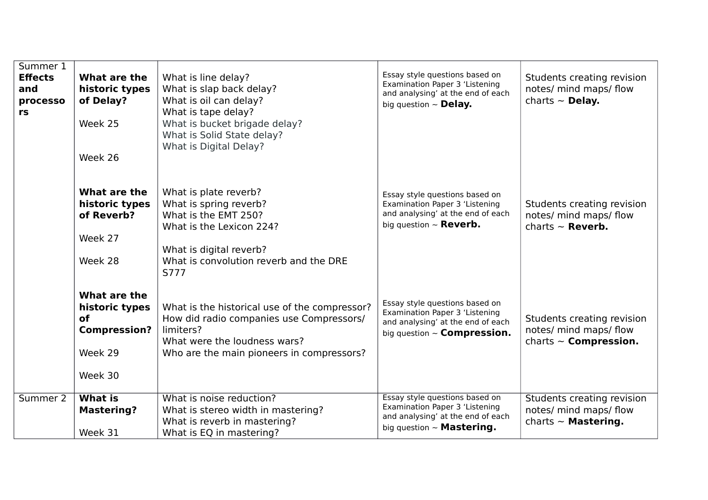| Summer 1<br><b>Effects</b><br>and<br>processo<br>rs | What are the<br>historic types<br>of Delay?<br>Week 25<br>Week 26                        | What is line delay?<br>What is slap back delay?<br>What is oil can delay?<br>What is tape delay?<br>What is bucket brigade delay?<br>What is Solid State delay?<br>What is Digital Delay?   | Essay style questions based on<br>Examination Paper 3 'Listening<br>and analysing' at the end of each<br>big question $\sim$ Delay.            | Students creating revision<br>notes/ mind maps/ flow<br>charts $\sim$ Delay.         |
|-----------------------------------------------------|------------------------------------------------------------------------------------------|---------------------------------------------------------------------------------------------------------------------------------------------------------------------------------------------|------------------------------------------------------------------------------------------------------------------------------------------------|--------------------------------------------------------------------------------------|
|                                                     | What are the<br>historic types<br>of Reverb?<br>Week 27<br>Week 28                       | What is plate reverb?<br>What is spring reverb?<br>What is the EMT 250?<br>What is the Lexicon 224?<br>What is digital reverb?<br>What is convolution reverb and the DRE                    | Essay style questions based on<br>Examination Paper 3 'Listening<br>and analysing' at the end of each<br>big question $\sim$ <b>Reverb.</b>    | Students creating revision<br>notes/ mind maps/ flow<br>charts $\sim$ <b>Reverb.</b> |
|                                                     | What are the<br>historic types<br><b>of</b><br><b>Compression?</b><br>Week 29<br>Week 30 | S777<br>What is the historical use of the compressor?<br>How did radio companies use Compressors/<br>limiters?<br>What were the loudness wars?<br>Who are the main pioneers in compressors? | Essay style questions based on<br>Examination Paper 3 'Listening<br>and analysing' at the end of each<br>big question $\sim$ Compression.      | Students creating revision<br>notes/ mind maps/ flow<br>charts $\sim$ Compression.   |
| Summer 2                                            | <b>What is</b><br><b>Mastering?</b><br>Week 31                                           | What is noise reduction?<br>What is stereo width in mastering?<br>What is reverb in mastering?<br>What is EQ in mastering?                                                                  | Essay style questions based on<br>Examination Paper 3 'Listening<br>and analysing' at the end of each<br>big question $\sim$ <b>Mastering.</b> | Students creating revision<br>notes/ mind maps/ flow<br>charts $\sim$ Mastering.     |